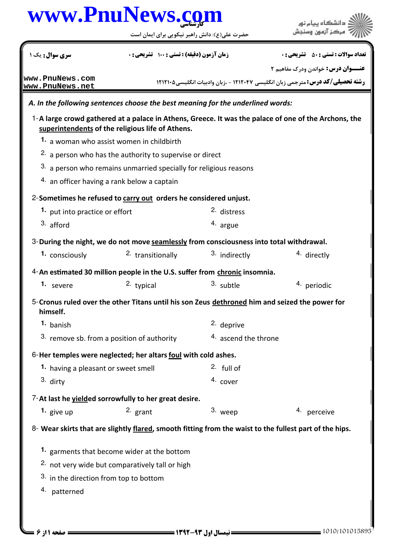حضرت علي(ع): دانش راهبر نيكويي براي ايمان است



| سری سوال : یک ۱                                                                                            | زمان آزمون (دقیقه) : تستی ; 100 تشریحی ; . |                      | <b>تعداد سوالات : تستی : 50 ٪ تشریحی : 0</b>                                                            |  |
|------------------------------------------------------------------------------------------------------------|--------------------------------------------|----------------------|---------------------------------------------------------------------------------------------------------|--|
| www.PnuNews.com                                                                                            |                                            |                      | <b>عنـــوان درس:</b> خواندن ودرک مفاهیم ۲                                                               |  |
| www.PnuNews.net                                                                                            |                                            |                      | <b>رشته تحصیلی/کد درس:</b> مترجمی زبان انگلیسی ۱۲۱۲۰۴۷ - ،زبان وادبیات انگلیسی۲۱۲۱۰۵                    |  |
| A. In the following sentences choose the best meaning for the underlined words:                            |                                            |                      |                                                                                                         |  |
| superintendents of the religious life of Athens.                                                           |                                            |                      | 1-A large crowd gathered at a palace in Athens, Greece. It was the palace of one of the Archons, the    |  |
| 1. a woman who assist women in childbirth                                                                  |                                            |                      |                                                                                                         |  |
| 2. a person who has the authority to supervise or direct                                                   |                                            |                      |                                                                                                         |  |
| 3. a person who remains unmarried specially for religious reasons                                          |                                            |                      |                                                                                                         |  |
| 4. an officer having a rank below a captain                                                                |                                            |                      |                                                                                                         |  |
| 2-Sometimes he refused to carry out orders he considered unjust.                                           |                                            |                      |                                                                                                         |  |
| 1. put into practice or effort                                                                             |                                            | 2. distress          |                                                                                                         |  |
| 3. afford                                                                                                  |                                            | 4. argue             |                                                                                                         |  |
| 3-During the night, we do not move seamlessly from consciousness into total withdrawal.                    |                                            |                      |                                                                                                         |  |
| 1. consciously                                                                                             | <sup>2.</sup> transitionally               | 3. indirectly        | <sup>4.</sup> directly                                                                                  |  |
| 4-An estimated 30 million people in the U.S. suffer from chronic insomnia.                                 |                                            |                      |                                                                                                         |  |
| 1. severe                                                                                                  | 2. typical                                 | 3. subtle            | 4. periodic                                                                                             |  |
| 5-Cronus ruled over the other Titans until his son Zeus dethroned him and seized the power for<br>himself. |                                            |                      |                                                                                                         |  |
| 1. banish                                                                                                  |                                            | 2. deprive           |                                                                                                         |  |
| <sup>3.</sup> remove sb. from a position of authority                                                      |                                            | 4. ascend the throne |                                                                                                         |  |
| 6-Her temples were neglected; her altars foul with cold ashes.                                             |                                            |                      |                                                                                                         |  |
| 1. having a pleasant or sweet smell                                                                        |                                            | $2.$ full of         |                                                                                                         |  |
| 3. dirty                                                                                                   |                                            | 4. cover             |                                                                                                         |  |
| 7-At last he yielded sorrowfully to her great desire.                                                      |                                            |                      |                                                                                                         |  |
| 1. give up                                                                                                 | 2. grant                                   | 3. weep              | 4. perceive                                                                                             |  |
|                                                                                                            |                                            |                      | 8- Wear skirts that are slightly flared, smooth fitting from the waist to the fullest part of the hips. |  |
| 1. garments that become wider at the bottom                                                                |                                            |                      |                                                                                                         |  |
| <sup>2.</sup> not very wide but comparatively tall or high                                                 |                                            |                      |                                                                                                         |  |
| 3. in the direction from top to bottom                                                                     |                                            |                      |                                                                                                         |  |
| 4. patterned                                                                                               |                                            |                      |                                                                                                         |  |
|                                                                                                            |                                            |                      |                                                                                                         |  |
|                                                                                                            |                                            |                      |                                                                                                         |  |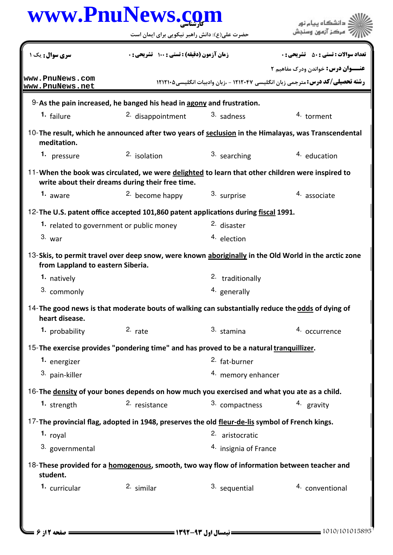| www.PnuNews.com                          |                                                                                                                                                      |                             |                                                                                                                                    |
|------------------------------------------|------------------------------------------------------------------------------------------------------------------------------------------------------|-----------------------------|------------------------------------------------------------------------------------------------------------------------------------|
|                                          | حضرت علی(ع): دانش راهبر نیکویی برای ایمان است                                                                                                        |                             |                                                                                                                                    |
| <b>سری سوال :</b> یک ۱                   | زمان آزمون (دقیقه) : تستی : 100 تشریحی : 0                                                                                                           |                             | <b>تعداد سوالات : تستي : 50 ٪ تشريحي : 0</b>                                                                                       |
| www.PnuNews.com<br>www.PnuNews.net       |                                                                                                                                                      |                             | <b>عنـــوان درس:</b> خواندن ودرک مفاهیم ۲<br><b>رشته تحصیلی/کد درس:</b> مترجمی زبان انگلیسی ۱۲۱۲۰۴۷ - ،زبان وادبیات انگلیسی1۲۱۲۱۰۵ |
|                                          | $9-$ As the pain increased, he banged his head in $\frac{1}{2}$ and frustration.                                                                     |                             |                                                                                                                                    |
| 1. failure                               | 2. disappointment                                                                                                                                    | 3. sadness                  | 4. torment                                                                                                                         |
| meditation.                              |                                                                                                                                                      |                             | 10-The result, which he announced after two years of seclusion in the Himalayas, was Transcendental                                |
| 1. pressure                              | 2. isolation                                                                                                                                         | 3. searching                | 4. education                                                                                                                       |
|                                          | 11-When the book was circulated, we were delighted to learn that other children were inspired to<br>write about their dreams during their free time. |                             |                                                                                                                                    |
| 1. aware                                 | 2. become happy                                                                                                                                      | 3. surprise                 | 4. associate                                                                                                                       |
|                                          | 12-The U.S. patent office accepted 101,860 patent applications during fiscal 1991.                                                                   |                             |                                                                                                                                    |
| 1. related to government or public money |                                                                                                                                                      | 2. disaster                 |                                                                                                                                    |
| $3.$ war                                 |                                                                                                                                                      | 4. election                 |                                                                                                                                    |
| from Lappland to eastern Siberia.        |                                                                                                                                                      |                             | 13-Skis, to permit travel over deep snow, were known aboriginally in the Old World in the arctic zone                              |
| 1. natively                              |                                                                                                                                                      | <sup>2.</sup> traditionally |                                                                                                                                    |
| 3. commonly                              |                                                                                                                                                      | <sup>4.</sup> generally     |                                                                                                                                    |
| heart disease.                           | 14-The good news is that moderate bouts of walking can substantially reduce the odds of dying of                                                     |                             |                                                                                                                                    |
| 1. probability                           | $2.$ rate                                                                                                                                            | 3. stamina                  | 4. occurrence                                                                                                                      |
|                                          | 15-The exercise provides "pondering time" and has proved to be a natural tranquillizer.                                                              |                             |                                                                                                                                    |
| 1. energizer                             |                                                                                                                                                      | <sup>2.</sup> fat-burner    |                                                                                                                                    |
| 3. pain-killer                           |                                                                                                                                                      | 4. memory enhancer          |                                                                                                                                    |
|                                          | 16-The density of your bones depends on how much you exercised and what you ate as a child.                                                          |                             |                                                                                                                                    |
| 1. strength                              | 2. resistance                                                                                                                                        | 3. compactness              | 4. gravity                                                                                                                         |
|                                          | 17-The provincial flag, adopted in 1948, preserves the old fleur-de-lis symbol of French kings.                                                      |                             |                                                                                                                                    |
| 1. royal                                 |                                                                                                                                                      | 2. aristocratic             |                                                                                                                                    |
| 3. governmental                          |                                                                                                                                                      | 4. insignia of France       |                                                                                                                                    |
| student.                                 | 18-These provided for a homogenous, smooth, two way flow of information between teacher and                                                          |                             |                                                                                                                                    |
| 1. curricular                            | $2.$ similar                                                                                                                                         | 3. sequential               | 4. conventional                                                                                                                    |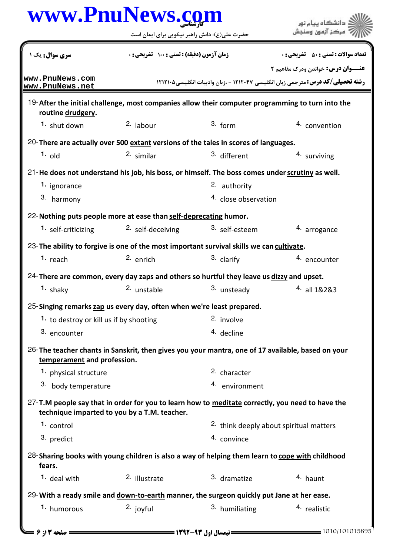|                                         | حضرت علی(ع): دانش راهبر نیکویی برای ایمان است                                                                                                    |                      |                                                                                                                                    |
|-----------------------------------------|--------------------------------------------------------------------------------------------------------------------------------------------------|----------------------|------------------------------------------------------------------------------------------------------------------------------------|
| <b>سری سوال :</b> یک ۱                  | زمان آزمون (دقیقه) : تستی : 100 تشریحی : 0                                                                                                       |                      | <b>تعداد سوالات : تستي : 50 ٪ تشريحي : 0</b>                                                                                       |
| www.PnuNews.com                         |                                                                                                                                                  |                      | <b>عنـــوان درس:</b> خواندن ودرک مفاهیم ۲<br><b>رشته تحصیلی/کد درس:</b> مترجمی زبان انگلیسی ۱۲۱۲۰۴۷ - ،زبان وادبیات انگلیسی1۲۱۲۱۰۵ |
| www.PnuNews.net                         |                                                                                                                                                  |                      |                                                                                                                                    |
| routine drudgery.                       | 19-After the initial challenge, most companies allow their computer programming to turn into the                                                 |                      |                                                                                                                                    |
| 1. shut down                            | $2.$ labour                                                                                                                                      | $3.$ form            | 4. convention                                                                                                                      |
|                                         | 20-There are actually over 500 extant versions of the tales in scores of languages.                                                              |                      |                                                                                                                                    |
| $1.$ old                                | 2. similar                                                                                                                                       | 3. different         | 4. surviving                                                                                                                       |
|                                         | 21-He does not understand his job, his boss, or himself. The boss comes under scrutiny as well.                                                  |                      |                                                                                                                                    |
| 1. ignorance                            |                                                                                                                                                  | 2. authority         |                                                                                                                                    |
| 3. harmony                              |                                                                                                                                                  | 4. close observation |                                                                                                                                    |
|                                         | 22- Nothing puts people more at ease than self-deprecating humor.                                                                                |                      |                                                                                                                                    |
| 1. self-criticizing                     | <sup>2.</sup> self-deceiving                                                                                                                     | 3. self-esteem       | 4. arrogance                                                                                                                       |
|                                         | 23-The ability to forgive is one of the most important survival skills we can cultivate.                                                         |                      |                                                                                                                                    |
| 1. $reach$                              | $2.$ enrich                                                                                                                                      | 3. clarify           | 4. encounter                                                                                                                       |
|                                         | 24-There are common, every day zaps and others so hurtful they leave us dizzy and upset.                                                         |                      |                                                                                                                                    |
| $1.$ shaky                              | 2. unstable                                                                                                                                      | 3. unsteady          | 4. all 1&2&3                                                                                                                       |
|                                         | 25-Singing remarks zap us every day, often when we're least prepared.                                                                            |                      |                                                                                                                                    |
| 1. to destroy or kill us if by shooting |                                                                                                                                                  | 2. involve           |                                                                                                                                    |
| 3. encounter                            |                                                                                                                                                  | 4. decline           |                                                                                                                                    |
|                                         | 26-The teacher chants in Sanskrit, then gives you your mantra, one of 17 available, based on your                                                |                      |                                                                                                                                    |
| temperament and profession.             |                                                                                                                                                  |                      |                                                                                                                                    |
| 1. physical structure                   |                                                                                                                                                  | 2. character         |                                                                                                                                    |
| 3. body temperature                     |                                                                                                                                                  | 4. environment       |                                                                                                                                    |
|                                         | 27-T.M people say that in order for you to learn how to meditate correctly, you need to have the<br>technique imparted to you by a T.M. teacher. |                      |                                                                                                                                    |
| 1. control                              |                                                                                                                                                  |                      | 2. think deeply about spiritual matters                                                                                            |
| 3. predict                              |                                                                                                                                                  | 4. convince          |                                                                                                                                    |
| fears.                                  | 28-Sharing books with young children is also a way of helping them learn to cope with childhood                                                  |                      |                                                                                                                                    |
| 1. deal with                            | 2. illustrate                                                                                                                                    | 3. dramatize         | 4. haunt                                                                                                                           |
|                                         | 29- With a ready smile and down-to-earth manner, the surgeon quickly put Jane at her ease.                                                       |                      |                                                                                                                                    |
| 1. humorous                             | 2. joyful                                                                                                                                        | 3. humiliating       | 4. realistic                                                                                                                       |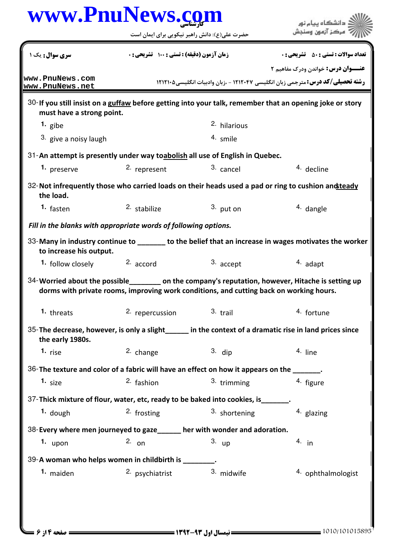حضرت علي(ع): دانش راهبر نيكويي براي ايمان است

| سری سوال: یک ۱                                                                                                                        | <b>زمان آزمون (دقیقه) : تستی : ۱۰۰ تشریحی: 0</b> |                         | <b>تعداد سوالات : تستي : 50 ٪ تشريحي : 0</b>                                                             |  |  |
|---------------------------------------------------------------------------------------------------------------------------------------|--------------------------------------------------|-------------------------|----------------------------------------------------------------------------------------------------------|--|--|
|                                                                                                                                       |                                                  |                         | <b>عنـــوان درس:</b> خواندن ودرک مفاهیم ۲                                                                |  |  |
| www.PnuNews.com<br>www.PnuNews.net                                                                                                    |                                                  |                         | <b>رشته تحصیلی/کد درس:</b> مترجمی زبان انگلیسی ۱۲۱۲۰۴۷ - ،زبان وادبیات انگلیسی۵۰۲۱۲۱۰                    |  |  |
| 30-If you still insist on a guffaw before getting into your talk, remember that an opening joke or story<br>must have a strong point. |                                                  |                         |                                                                                                          |  |  |
| 1. gibe                                                                                                                               |                                                  | <sup>2.</sup> hilarious |                                                                                                          |  |  |
| 3. give a noisy laugh                                                                                                                 |                                                  | 4. smile                |                                                                                                          |  |  |
| 31-An attempt is presently under way toabolish all use of English in Quebec.                                                          |                                                  |                         |                                                                                                          |  |  |
| 1. preserve                                                                                                                           | 2. represent                                     | 3. cancel               | 4. decline                                                                                               |  |  |
| the load.                                                                                                                             |                                                  |                         | 32- Not infrequently those who carried loads on their heads used a pad or ring to cushion and teady      |  |  |
| <sup>1.</sup> fasten                                                                                                                  | 2. stabilize                                     | $3.$ put on             | 4. dangle                                                                                                |  |  |
| Fill in the blanks with appropriate words of following options.                                                                       |                                                  |                         |                                                                                                          |  |  |
| to increase his output.                                                                                                               |                                                  |                         | 33-Many in industry continue to _______ to the belief that an increase in wages motivates the worker     |  |  |
| 1. follow closely $2.$ accord                                                                                                         |                                                  | 3. accept               | 4. adapt                                                                                                 |  |  |
| dorms with private rooms, improving work conditions, and cutting back on working hours.                                               |                                                  |                         | 34-Worried about the possible _________ on the company's reputation, however, Hitache is setting up      |  |  |
| 1. threats                                                                                                                            | 2. repercussion                                  | 3. trail                | 4. fortune                                                                                               |  |  |
| the early 1980s.                                                                                                                      |                                                  |                         | 35-The decrease, however, is only a slight ______ in the context of a dramatic rise in land prices since |  |  |
| 1. rise                                                                                                                               | 2. change                                        | $3.$ dip                | 4. line                                                                                                  |  |  |
| 36-The texture and color of a fabric will have an effect on how it appears on the ______.                                             |                                                  |                         |                                                                                                          |  |  |
| 1. <sub>size</sub>                                                                                                                    | 2. fashion                                       | 3. trimming             | 4. figure                                                                                                |  |  |
| 37-Thick mixture of flour, water, etc, ready to be baked into cookies, is _______.                                                    |                                                  |                         |                                                                                                          |  |  |
| $1.$ dough                                                                                                                            | $2.$ frosting                                    | 3. shortening           | 4. glazing                                                                                               |  |  |
| 38-Every where men journeyed to gaze_____ her with wonder and adoration.                                                              |                                                  |                         |                                                                                                          |  |  |
| 1. $upon$                                                                                                                             | 2. $_{\text{on}}$                                | $3.$ up                 | $4.$ in                                                                                                  |  |  |
| 39-A woman who helps women in childbirth is ________.                                                                                 |                                                  |                         |                                                                                                          |  |  |
| 1. maiden                                                                                                                             | 2. psychiatrist                                  | 3. midwife              | 4. ophthalmologist                                                                                       |  |  |
|                                                                                                                                       |                                                  |                         |                                                                                                          |  |  |
|                                                                                                                                       |                                                  |                         |                                                                                                          |  |  |
|                                                                                                                                       |                                                  |                         |                                                                                                          |  |  |

ے<br>جگہلات دانشگاہ پیام نور<br>جگہلات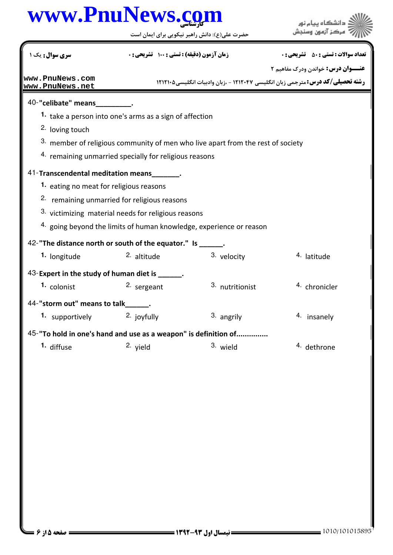حضرت علي(ع): دانش راهبر نيكويي براي ايمان است

| سری سوال: یک ۱                                                                  |                        | <b>زمان آزمون (دقیقه) : تستی : 100 تشریحی : 0</b> |                 | <b>تعداد سوالات : تستي : 50 ٪ تشريحي : 0</b>                                          |
|---------------------------------------------------------------------------------|------------------------|---------------------------------------------------|-----------------|---------------------------------------------------------------------------------------|
|                                                                                 |                        |                                                   |                 | <b>عنـــوان درس:</b> خواندن ودرک مفاهیم ۲                                             |
| www.PnuNews.com<br>www.PnuNews.net                                              |                        |                                                   |                 | <b>رشته تحصیلی/کد درس:</b> مترجمی زبان انگلیسی ۱۲۱۲۰۴۷ - ،زبان وادبیات انگلیسی4۲۱۲۱۰۵ |
| 40-"celibate" means                                                             |                        |                                                   |                 |                                                                                       |
| 1. take a person into one's arms as a sign of affection                         |                        |                                                   |                 |                                                                                       |
| 2. loving touch                                                                 |                        |                                                   |                 |                                                                                       |
| 3. member of religious community of men who live apart from the rest of society |                        |                                                   |                 |                                                                                       |
| 4. remaining unmarried specially for religious reasons                          |                        |                                                   |                 |                                                                                       |
| 41-Transcendental meditation means                                              |                        |                                                   |                 |                                                                                       |
| 1. eating no meat for religious reasons                                         |                        |                                                   |                 |                                                                                       |
| 2. remaining unmarried for religious reasons                                    |                        |                                                   |                 |                                                                                       |
| 3. victimizing material needs for religious reasons                             |                        |                                                   |                 |                                                                                       |
| 4. going beyond the limits of human knowledge, experience or reason             |                        |                                                   |                 |                                                                                       |
| 42-"The distance north or south of the equator." Is ______.                     |                        |                                                   |                 |                                                                                       |
| 1. longitude                                                                    | 2. altitude            |                                                   | 3. velocity     | 4. latitude                                                                           |
| 43-Expert in the study of human diet is ______.                                 |                        |                                                   |                 |                                                                                       |
| 1. colonist                                                                     | 2. sergeant            |                                                   | 3. nutritionist | 4. chronicler                                                                         |
| 44-"storm out" means to talk .                                                  |                        |                                                   |                 |                                                                                       |
| <b>1.</b> supportively                                                          | <sup>2.</sup> joyfully |                                                   | 3. angrily      | 4. insanely                                                                           |
| 45-"To hold in one's hand and use as a weapon" is definition of                 |                        |                                                   |                 |                                                                                       |
| 1. diffuse                                                                      | 2. yield               |                                                   | 3. wield        | 4. dethrone                                                                           |
|                                                                                 |                        |                                                   |                 |                                                                                       |
|                                                                                 |                        |                                                   |                 |                                                                                       |
|                                                                                 |                        |                                                   |                 |                                                                                       |
|                                                                                 |                        |                                                   |                 |                                                                                       |
|                                                                                 |                        |                                                   |                 |                                                                                       |
|                                                                                 |                        |                                                   |                 |                                                                                       |
|                                                                                 |                        |                                                   |                 |                                                                                       |
|                                                                                 |                        |                                                   |                 |                                                                                       |
|                                                                                 |                        |                                                   |                 |                                                                                       |
|                                                                                 |                        |                                                   |                 |                                                                                       |
|                                                                                 |                        |                                                   |                 |                                                                                       |
|                                                                                 |                        |                                                   |                 |                                                                                       |